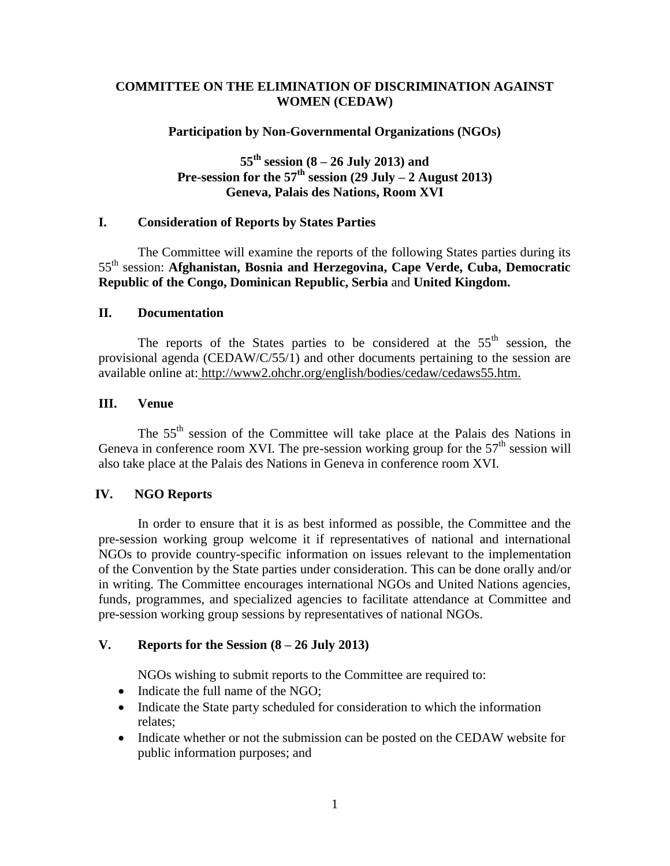# **COMMITTEE ON THE ELIMINATION OF DISCRIMINATION AGAINST WOMEN (CEDAW)**

### **Participation by Non-Governmental Organizations (NGOs)**

**55th session (8 – 26 July 2013) and Pre-session for the**  $57<sup>th</sup>$  **<b>session** (29 July – 2 August 2013) **Geneva, Palais des Nations, Room XVI**

### **I. Consideration of Reports by States Parties**

The Committee will examine the reports of the following States parties during its 55th session: **Afghanistan, Bosnia and Herzegovina, Cape Verde, Cuba, Democratic Republic of the Congo, Dominican Republic, Serbia** and **United Kingdom.**

### **II. Documentation**

The reports of the States parties to be considered at the  $55<sup>th</sup>$  session, the provisional agenda (CEDAW/C/55/1) and other documents pertaining to the session are available online at: http://www2.ohchr.org/english/bodies/cedaw/cedaws55.htm.

### **III. Venue**

The 55th session of the Committee will take place at the Palais des Nations in Geneva in conference room XVI. The pre-session working group for the  $57<sup>th</sup>$  session will also take place at the Palais des Nations in Geneva in conference room XVI.

# **IV. NGO Reports**

In order to ensure that it is as best informed as possible, the Committee and the pre-session working group welcome it if representatives of national and international NGOs to provide country-specific information on issues relevant to the implementation of the Convention by the State parties under consideration. This can be done orally and/or in writing. The Committee encourages international NGOs and United Nations agencies, funds, programmes, and specialized agencies to facilitate attendance at Committee and pre-session working group sessions by representatives of national NGOs.

# **V. Reports for the Session (8 – 26 July 2013)**

NGOs wishing to submit reports to the Committee are required to:

- Indicate the full name of the NGO;
- Indicate the State party scheduled for consideration to which the information relates;
- Indicate whether or not the submission can be posted on the CEDAW website for public information purposes; and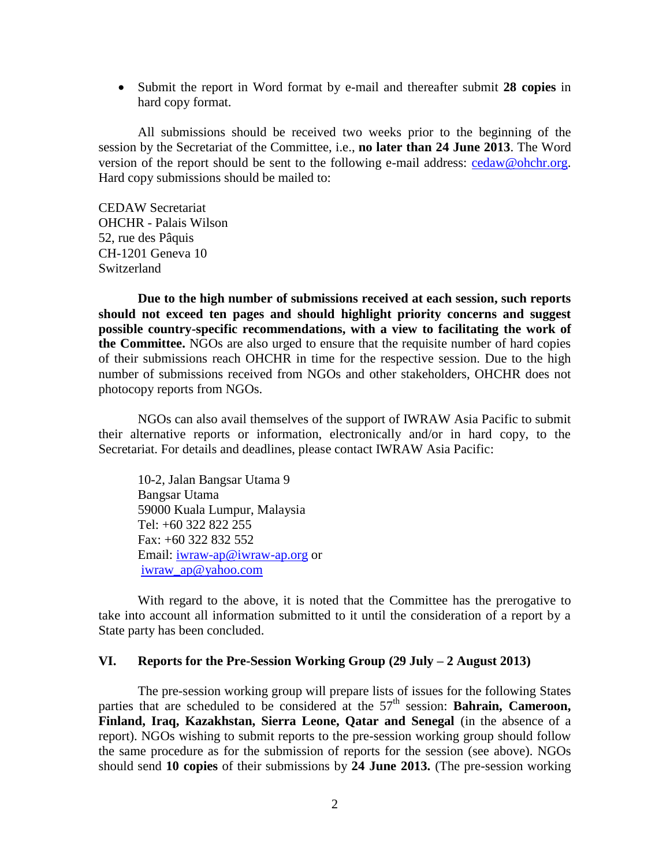Submit the report in Word format by e-mail and thereafter submit **28 copies** in hard copy format.

All submissions should be received two weeks prior to the beginning of the session by the Secretariat of the Committee, i.e., **no later than 24 June 2013**. The Word version of the report should be sent to the following e-mail address: [cedaw@ohchr.org.](mailto:cedaw@ohchr.org) Hard copy submissions should be mailed to:

CEDAW Secretariat OHCHR - Palais Wilson 52, rue des Pâquis CH-1201 Geneva 10 Switzerland

**Due to the high number of submissions received at each session, such reports should not exceed ten pages and should highlight priority concerns and suggest possible country-specific recommendations, with a view to facilitating the work of the Committee.** NGOs are also urged to ensure that the requisite number of hard copies of their submissions reach OHCHR in time for the respective session. Due to the high number of submissions received from NGOs and other stakeholders, OHCHR does not photocopy reports from NGOs.

NGOs can also avail themselves of the support of IWRAW Asia Pacific to submit their alternative reports or information, electronically and/or in hard copy, to the Secretariat. For details and deadlines, please contact IWRAW Asia Pacific:

10-2, Jalan Bangsar Utama 9 Bangsar Utama 59000 Kuala Lumpur, Malaysia Tel: +60 322 822 255 Fax: +60 322 832 552 Email: [iwraw-ap@iwraw-ap.org](mailto:iwraw-ap@iwraw-ap.org) or [iwraw\\_ap@yahoo.com](mailto:iwraw_ap@yahoo.com)

With regard to the above, it is noted that the Committee has the prerogative to take into account all information submitted to it until the consideration of a report by a State party has been concluded.

#### **VI. Reports for the Pre-Session Working Group (29 July – 2 August 2013)**

The pre-session working group will prepare lists of issues for the following States parties that are scheduled to be considered at the 57<sup>th</sup> session: **Bahrain, Cameroon, Finland, Iraq, Kazakhstan, Sierra Leone, Qatar and Senegal** (in the absence of a report). NGOs wishing to submit reports to the pre-session working group should follow the same procedure as for the submission of reports for the session (see above). NGOs should send **10 copies** of their submissions by **24 June 2013.** (The pre-session working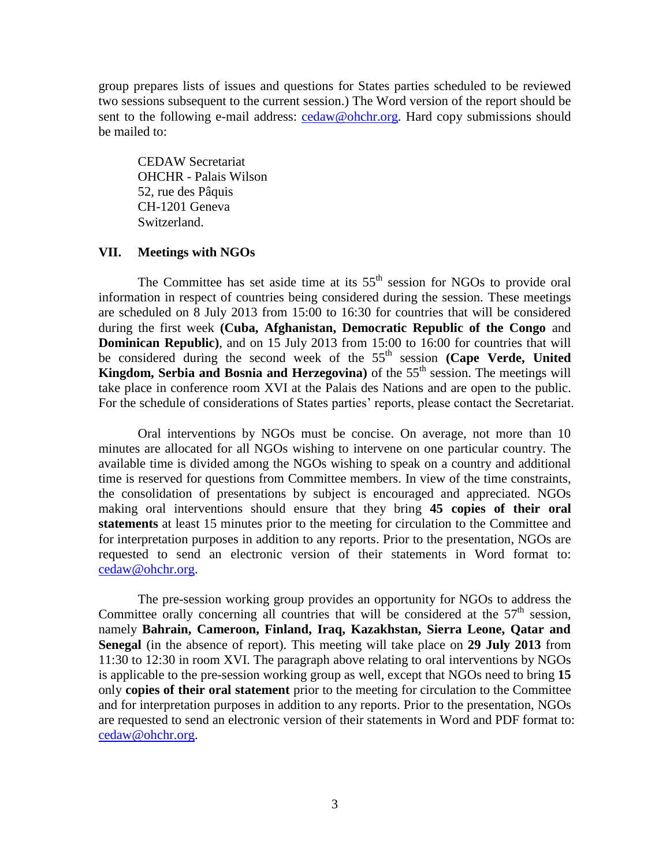group prepares lists of issues and questions for States parties scheduled to be reviewed two sessions subsequent to the current session.) The Word version of the report should be sent to the following e-mail address: [cedaw@ohchr.org.](mailto:cedaw@ohchr.org) Hard copy submissions should be mailed to:

CEDAW Secretariat OHCHR - Palais Wilson 52, rue des Pâquis CH-1201 Geneva Switzerland.

# **VII. Meetings with NGOs**

The Committee has set aside time at its  $55<sup>th</sup>$  session for NGOs to provide oral information in respect of countries being considered during the session. These meetings are scheduled on 8 July 2013 from 15:00 to 16:30 for countries that will be considered during the first week **(Cuba, Afghanistan, Democratic Republic of the Congo** and **Dominican Republic)**, and on 15 July 2013 from 15:00 to 16:00 for countries that will be considered during the second week of the 55<sup>th</sup> session **(Cape Verde, United Kingdom, Serbia and Bosnia and Herzegovina**) of the  $55<sup>th</sup>$  session. The meetings will take place in conference room XVI at the Palais des Nations and are open to the public. For the schedule of considerations of States parties' reports, please contact the Secretariat.

Oral interventions by NGOs must be concise. On average, not more than 10 minutes are allocated for all NGOs wishing to intervene on one particular country. The available time is divided among the NGOs wishing to speak on a country and additional time is reserved for questions from Committee members. In view of the time constraints, the consolidation of presentations by subject is encouraged and appreciated. NGOs making oral interventions should ensure that they bring **45 copies of their oral statements** at least 15 minutes prior to the meeting for circulation to the Committee and for interpretation purposes in addition to any reports. Prior to the presentation, NGOs are requested to send an electronic version of their statements in Word format to: [cedaw@ohchr.org.](mailto:cedaw@ohchr.org)

The pre-session working group provides an opportunity for NGOs to address the Committee orally concerning all countries that will be considered at the  $57<sup>th</sup>$  session, namely **Bahrain, Cameroon, Finland, Iraq, Kazakhstan, Sierra Leone, Qatar and Senegal** (in the absence of report). This meeting will take place on **29 July 2013** from 11:30 to 12:30 in room XVI. The paragraph above relating to oral interventions by NGOs is applicable to the pre-session working group as well, except that NGOs need to bring **15** only **copies of their oral statement** prior to the meeting for circulation to the Committee and for interpretation purposes in addition to any reports. Prior to the presentation, NGOs are requested to send an electronic version of their statements in Word and PDF format to: [cedaw@ohchr.org.](mailto:cedaw@ohchr.org)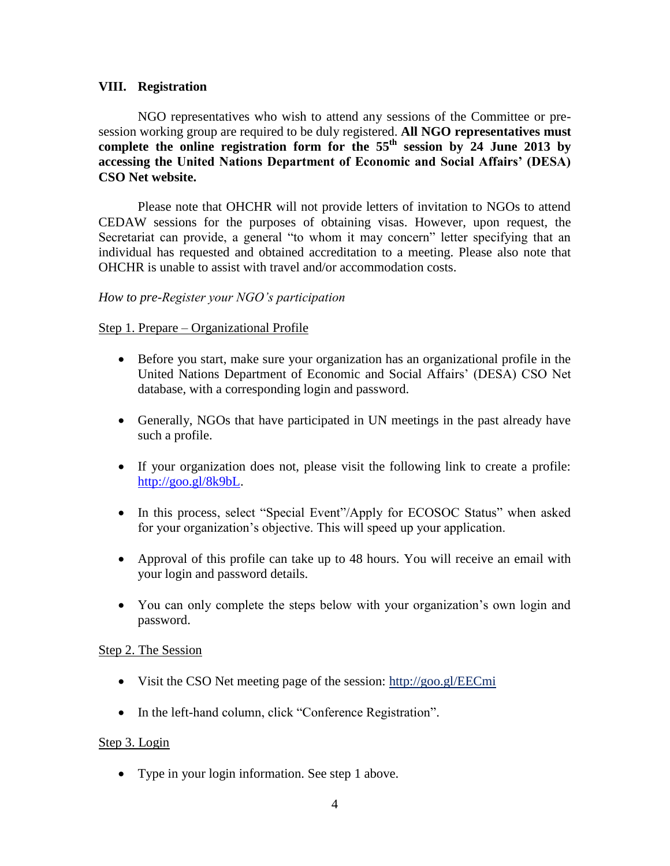# **VIII. Registration**

NGO representatives who wish to attend any sessions of the Committee or presession working group are required to be duly registered. **All NGO representatives must**  complete the online registration form for the  $55<sup>th</sup>$  session by 24 June 2013 by **accessing the United Nations Department of Economic and Social Affairs' (DESA) CSO Net website.**

Please note that OHCHR will not provide letters of invitation to NGOs to attend CEDAW sessions for the purposes of obtaining visas. However, upon request, the Secretariat can provide, a general "to whom it may concern" letter specifying that an individual has requested and obtained accreditation to a meeting. Please also note that OHCHR is unable to assist with travel and/or accommodation costs.

# *How to pre-Register your NGO's participation*

### Step 1. Prepare – Organizational Profile

- Before you start, make sure your organization has an organizational profile in the United Nations Department of Economic and Social Affairs' (DESA) CSO Net database, with a corresponding login and password.
- Generally, NGOs that have participated in UN meetings in the past already have such a profile.
- If your organization does not, please visit the following link to create a profile: [http://goo.gl/8k9bL.](http://goo.gl/8k9bL)
- In this process, select "Special Event"/Apply for ECOSOC Status" when asked for your organization's objective. This will speed up your application.
- Approval of this profile can take up to 48 hours. You will receive an email with your login and password details.
- You can only complete the steps below with your organization's own login and password.

### Step 2. The Session

- Visit the CSO Net meeting page of the session: http://goo.gl/EECmi
- In the left-hand column, click "Conference Registration".

### Step 3. Login

• Type in your login information. See step 1 above.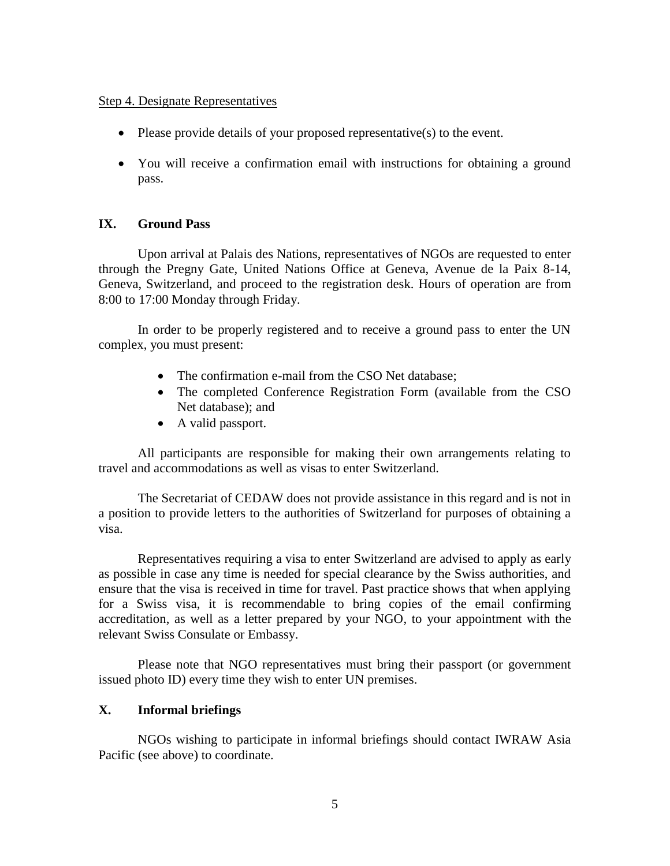#### Step 4. Designate Representatives

- $\bullet$  Please provide details of your proposed representative(s) to the event.
- You will receive a confirmation email with instructions for obtaining a ground pass.

### **IX. Ground Pass**

Upon arrival at Palais des Nations, representatives of NGOs are requested to enter through the Pregny Gate, United Nations Office at Geneva, Avenue de la Paix 8-14, Geneva, Switzerland, and proceed to the registration desk. Hours of operation are from 8:00 to 17:00 Monday through Friday.

In order to be properly registered and to receive a ground pass to enter the UN complex, you must present:

- The confirmation e-mail from the CSO Net database;
- The completed Conference Registration Form (available from the CSO Net database); and
- A valid passport.

All participants are responsible for making their own arrangements relating to travel and accommodations as well as visas to enter Switzerland.

The Secretariat of CEDAW does not provide assistance in this regard and is not in a position to provide letters to the authorities of Switzerland for purposes of obtaining a visa.

Representatives requiring a visa to enter Switzerland are advised to apply as early as possible in case any time is needed for special clearance by the Swiss authorities, and ensure that the visa is received in time for travel. Past practice shows that when applying for a Swiss visa, it is recommendable to bring copies of the email confirming accreditation, as well as a letter prepared by your NGO, to your appointment with the relevant Swiss Consulate or Embassy.

Please note that NGO representatives must bring their passport (or government issued photo ID) every time they wish to enter UN premises.

# **X. Informal briefings**

NGOs wishing to participate in informal briefings should contact IWRAW Asia Pacific (see above) to coordinate.